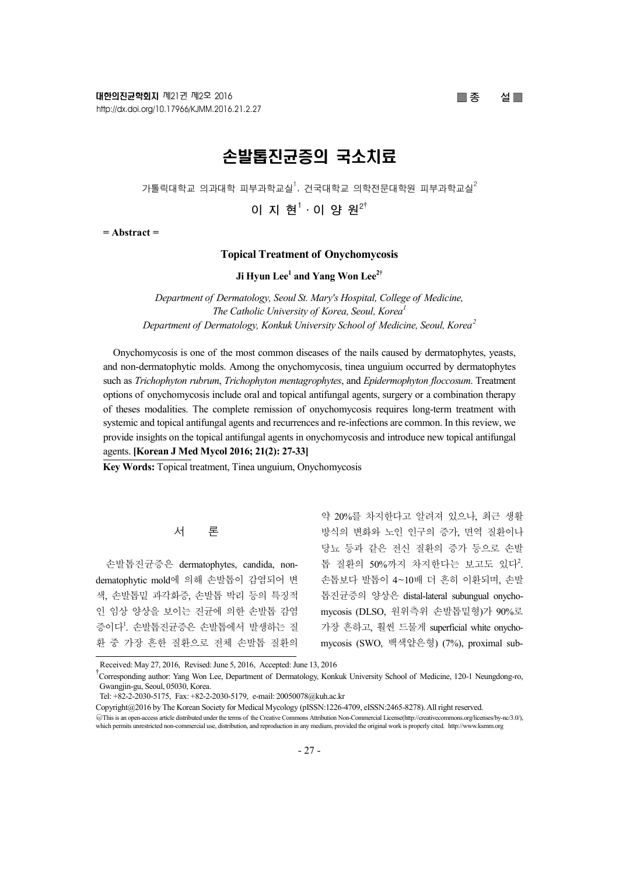# $\Box$  종 설

# 손발톱진균증의 국소치료

가톨릭대학교 의과대학 피부과학교실<sup>1</sup>, 건국대학교 의학전문대학원 피부과학교실 $^2$ 

이 지 현 $1$ ·이 양 원 $2^{\dagger}$ 

 $=$  Abstract  $=$ 

# Topical Treatment of Onychomycosis

Ji Hyun Lee<sup>1</sup> and Yang Won Lee<sup>2†</sup>

Department of Dermatology, Seoul St. Mary's Hospital, College of Medicine, The Catholic University of Korea, Seoul, Korea<sup>1</sup> Department of Dermatology, Konkuk University School of Medicine, Seoul, Korea<sup>2</sup>

Onychomycosis is one of the most common diseases of the nails caused by dermatophytes, yeasts, and non-dermatophytic molds. Among the onychomycosis, tinea unguium occurred by dermatophytes such as Trichophyton rubrum, Trichophyton mentagrophytes, and Epidermophyton floccosum. Treatment options of onychomycosis include oral and topical antifungal agents, surgery or a combination therapy of theses modalities. The complete remission of onychomycosis requires long-term treatment with systemic and topical antifungal agents and recurrences and re-infections are common. In this review, we provide insights on the topical antifungal agents in onychomycosis and introduce new topical antifungal agents. [Korean J Med Mycol 2016; 21(2): 27-33]

Key Words: Topical treatment, Tinea unguium, Onychomycosis

# 서 론

손발톱진균증은 dermatophytes, candida, nondematophytic mold에 의해 손발톱이 감염되어 변 색, 손발톱밑 과각화증, 손발톱 박리 등의 특징적 인 임상 양상을 보이는 진균에 의한 손발톱 감염 증이다! 손발톱진균증은 손발톱에서 발생하는 질 환 중 가장 흔한 질환으로 전체 손발톱 질환의

약 20%를 차지한다고 알려져 있으나, 최근 생활 방식의 변화와 노인 인구의 증가, 면역 질환이나 당뇨 등과 같은 전신 질환의 증가 등으로 손발 톱 질환의 50%까지 차지한다는 보고도 있다2. 손톱보다 발톱이 4~10배 더 흔히 이환되며, 손발 톱진균증의 양상은 distal-lateral subungual onychomycosis (DLSO, 원위측위 손발톱밑형)가 90%로 가장 흔하고, 훨씬 드물게 superficial white onychomycosis (SWO, 백색얕은형) (7%), proximal sub-

Received: May 27, 2016, Revised: June 5, 2016, Accepted: June 13, 2016<br><sup>†</sup>Corresponding author: Yang Won Lee, Department of Dermatology, Konkuk University School of Medicine, 120-1 Neungdong-ro, Gwangjin-gu, Seoul, 05030, Korea.

Tel: +82-2-2030-5175, Fax: +82-2-2030-5179, e-mail: 20050078@kuh.ac.kr

Copyright@2016 by The Korean Society for Medical Mycology (pISSN:1226-4709, eISSN:2465-8278). All right reserved.

<sup>○</sup>cc This is an open-access article distributed under the terms of the Creative Commons Attribution Non-Commercial License(http://creativecommons.org/licenses/by-nc/3.0/), which permits unrestricted non-commercial use, distribution, and reproduction in any medium, provided the original work is properly cited. http://www.ksmm.org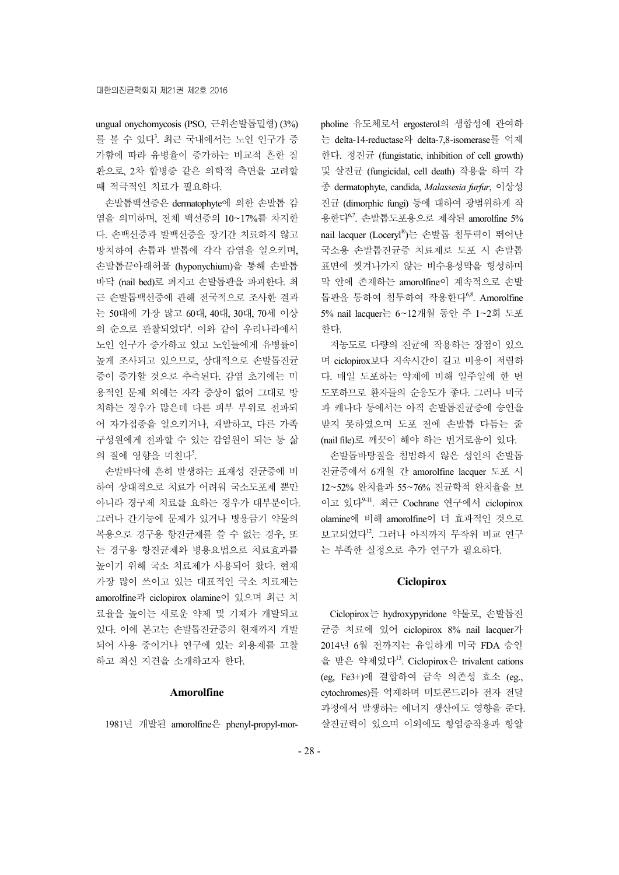ungual onychomycosis (PSO, 근위손발톱밑형) (3%) 를 볼 수 있다<sup>3</sup>. 최근 국내에서는 노인 인구가 증 가함에 따라 유병율이 증가하는 비교적 흔한 질 환으로, 2차 합병증 같은 의학적 측면을 고려할 때 적극적인 치료가 필요하다.

손발톱백선증은 dermatophyte에 의한 손발톱 감 염을 의미하며, 전체 백선증의 10~17%를 차지한 다. 손백선증과 발백선증을 장기간 치료하지 않고 방치하여 손톱과 발톱에 각각 감염을 일으키며, 손발톱끝아래허물 (hyponychium)을 통해 손발톱 바닥 (nail bed)로 퍼지고 손발톱판을 파괴한다. 최 근 손발톱백선증에 관해 전국적으로 조사한 결과 는 50대에 가장 많고 60대, 40대, 30대, 70세 이상 의 순으로 관찰되었다<sup>4</sup>. 이와 같이 우리나라에서 노인 인구가 증가하고 있고 노인들에게 유병률이 높게 조사되고 있으므로, 상대적으로 손발톱진균 증이 증가할 것으로 추측된다. 감염 초기에는 미 용적인 문제 외에는 자각 증상이 없어 그대로 방 치하는 경우가 많은데 다른 피부 부위로 전파되 어 자가접종을 일으키거나, 재발하고, 다른 가족 구성원에게 전파할 수 있는 감염원이 되는 등 삶 의 질에 영향을 미친다<sup>5</sup>.

손발바닥에 흔히 발생하는 표재성 진균증에 비 하여 상대적으로 치료가 어려워 국소도포제 뿐만 아니라 경구제 치료를 요하는 경우가 대부분이다. 그러나 간기능에 문제가 있거나 병용금기 약물의 복용으로 경구용 항진균제를 쓸 수 없는 경우, 또 는 경구용 항진균제와 병용요법으로 치료효과를 높이기 위해 국소 치료제가 사용되어 왔다. 현재 가장 많이 쓰이고 있는 대표적인 국소 치료제는 amorolfine과 ciclopirox olamine이 있으며 최근 치 료율을 높이는 새로운 약제 및 기제가 개발되고 있다. 이에 본고는 손발톱진균증의 현재까지 개발 되어 사용 중이거나 연구에 있는 외용제를 고찰 하고 최신 지견을 소개하고자 한다.

# Amorolfine

1981년 개발된 amorolfine은 phenyl-propyl-mor-

pholine 유도체로서 ergosterol의 생합성에 관여하 는 delta-14-reductase와 delta-7,8-isomerase를 억제 한다. 정진균 (fungistatic, inhibition of cell growth) 및 살진균 (fungicidal, cell death) 작용을 하며 각 종 dermatophyte, candida, Malassesia furfur, 이상성 진균 (dimorphic fungi) 등에 대하여 광범위하게 작 용한다<sup>6,7</sup>. 손발톱도포용으로 제작된 amorolfine 5% nail lacquer (Loceryl® )는 손발톱 침투력이 뛰어난 국소용 손발톱진균증 치료제로 도포 시 손발톱 표면에 씻겨나가지 않는 비수용성막을 형성하며 막 안에 존재하는 amorolfine이 계속적으로 손발 톱판을 통하여 침투하여 작용한다<sup>68</sup>. Amorolfine 5% nail lacquer는 6~12개월 동안 주 1~2회 도포 한다.

저농도로 다량의 진균에 작용하는 장점이 있으 며 ciclopirox보다 지속시간이 길고 비용이 저렴하 다. 매일 도포하는 약제에 비해 일주일에 한 번 도포하므로 환자들의 순응도가 좋다. 그러나 미국 과 캐나다 등에서는 아직 손발톱진균증에 승인을 받지 못하였으며 도포 전에 손발톱 다듬는 줄 (nail file)로 깨끗이 해야 하는 번거로움이 있다.

손발톱바탕질을 침범하지 않은 성인의 손발톱 진균증에서 6개월 간 amorolfine lacquer 도포 시 12~52% 완치율과 55~76% 진균학적 완치율을 보 이고 있다9-11 . 최근 Cochrane 연구에서 ciclopirox olamine에 비해 amorolfine이 더 효과적인 것으로 보고되었다<sup>12</sup>. 그러나 아직까지 무작위 비교 연구 는 부족한 실정으로 추가 연구가 필요하다.

## **Ciclopirox**

Ciclopirox는 hydroxypyridone 약물로, 손발톱진 균증 치료에 있어 ciclopirox 8% nail lacquer가 2014년 6월 전까지는 유일하게 미국 FDA 승인 을 받은 약제였다<sup>13</sup>. Ciclopirox은 trivalent cations (eg, Fe3+)에 결합하여 금속 의존성 효소 (eg., cytochromes)를 억제하며 미토콘드리아 전자 전달 과정에서 발생하는 에너지 생산에도 영향을 준다. 살진균력이 있으며 이외에도 항염증작용과 항알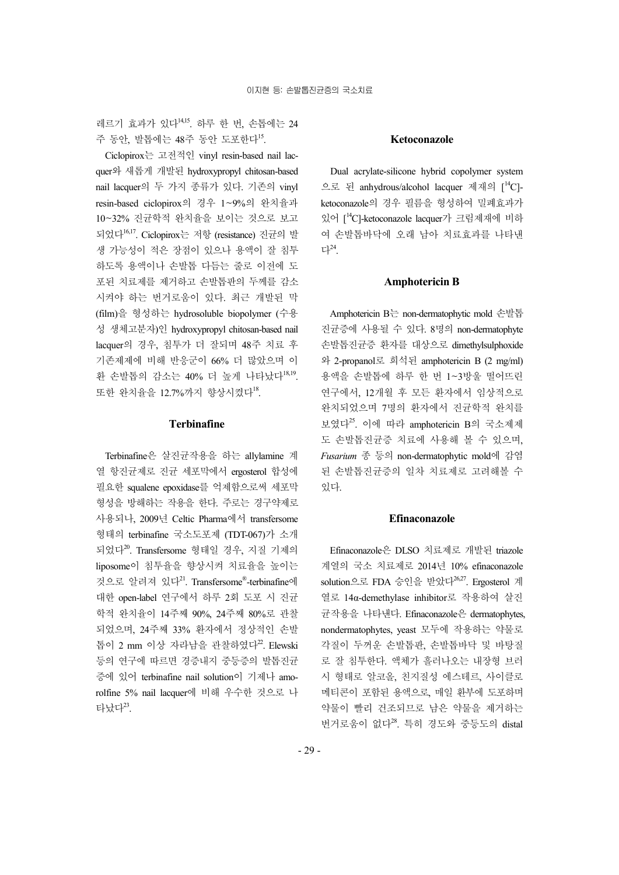레르기 효과가 있다14,15 . 하루 한 번, 손톱에는 24 주 동안, 발톱에는 48주 동안 도포한다<sup>15</sup>.

Ciclopirox는 고전적인 vinyl resin-based nail lacquer와 새롭게 개발된 hydroxypropyl chitosan-based nail lacquer의 두 가지 종류가 있다. 기존의 vinyl resin-based ciclopirox의 경우 1~9%의 완치율과 10~32% 진균학적 완치율을 보이는 것으로 보고 되었다16,17. Ciclopirox는 저항 (resistance) 진균의 발 생 가능성이 적은 장점이 있으나 용액이 잘 침투 하도록 용액이나 손발톱 다듬는 줄로 이전에 도 포된 치료제를 제거하고 손발톱판의 두께를 감소 시켜야 하는 번거로움이 있다. 최근 개발된 막 (film)을 형성하는 hydrosoluble biopolymer (수용 성 생체고분자)인 hydroxypropyl chitosan-based nail lacquer의 경우, 침투가 더 잘되며 48주 치료 후 기존제제에 비해 반응군이 66% 더 많았으며 이 환 손발톱의 감소는 40% 더 높게 나타났다<sup>18,19</sup>. 또한 완치율을 12.7%까지 향상시켰다<sup>18</sup>.

## Terbinafine

Terbinafine은 살진균작용을 하는 allylamine 계 열 항진균제로 진균 세포막에서 ergosterol 합성에 필요한 squalene epoxidase를 억제함으로써 세포막 형성을 방해하는 작용을 한다. 주로는 경구약제로 사용되나, 2009년 Celtic Pharma에서 transfersome 형태의 terbinafine 국소도포제 (TDT-067)가 소개 되었다<sup>20</sup>. Transfersome 형태일 경우, 지질 기제의 liposome이 침투율을 향상시켜 치료율을 높이는 것으로 알려져 있다<sup>21</sup>. Transfersome®-terbinafine에 대한 open-label 연구에서 하루 2회 도포 시 진균 학적 완치율이 14주째 90%, 24주째 80%로 관찰 되었으며, 24주째 33% 환자에서 정상적인 손발 톱이 2 mm 이상 자라남을 관찰하였다<sup>22</sup>. Elewski 등의 연구에 따르면 경증내지 중등증의 발톱진균 증에 있어 terbinafine nail solution이 기제나 amorolfine 5% nail lacquer에 비해 우수한 것으로 나 타났다<sup>23</sup>.

#### Ketoconazole

Dual acrylate-silicone hybrid copolymer system 으로 된 anhydrous/alcohol lacquer 제재의 [<sup>14</sup>C]ketoconazole의 경우 필름을 형성하여 밀폐효과가 있어 [<sup>14</sup>C]-ketoconazole lacquer가 크림제재에 비하 여 손발톱바닥에 오래 남아 치료효과를 나타낸 다<sup>24</sup> .

#### Amphotericin B

Amphotericin B는 non-dermatophytic mold 손발톱 진균증에 사용될 수 있다. 8명의 non-dermatophyte 손발톱진균증 환자를 대상으로 dimethylsulphoxide 와 2-propanol로 희석된 amphotericin B (2 mg/ml) 용액을 손발톱에 하루 한 번 1~3방울 떨어뜨린 연구에서, 12개월 후 모든 환자에서 임상적으로 완치되었으며 7명의 환자에서 진균학적 완치를 보였다<sup>25</sup>. 이에 따라 amphotericin B의 국소제제 도 손발톱진균증 치료에 사용해 볼 수 있으며, Fusarium 종 등의 non-dermatophytic mold에 감염 된 손발톱진균증의 일차 치료제로 고려해볼 수 있다.

#### Efinaconazole

Efinaconazole은 DLSO 치료제로 개발된 triazole 계열의 국소 치료제로 2014년 10% efinaconazole solution으로 FDA 승인을 받았다26,27. Ergosterol 계 열로 14α-demethylase inhibitor로 작용하여 살진 균작용을 나타낸다. Efinaconazole은 dermatophytes, nondermatophytes, yeast 모두에 작용하는 약물로 각질이 두꺼운 손발톱판, 손발톱바닥 및 바탕질 로 잘 침투한다. 액체가 흘러나오는 내장형 브러 시 형태로 알코올, 친지질성 에스테르, 사이클로 메티콘이 포함된 용액으로, 매일 환부에 도포하며 약물이 빨리 건조되므로 남은 약물을 제거하는 번거로움이 없다<sup>28</sup>. 특히 경도와 중등도의 distal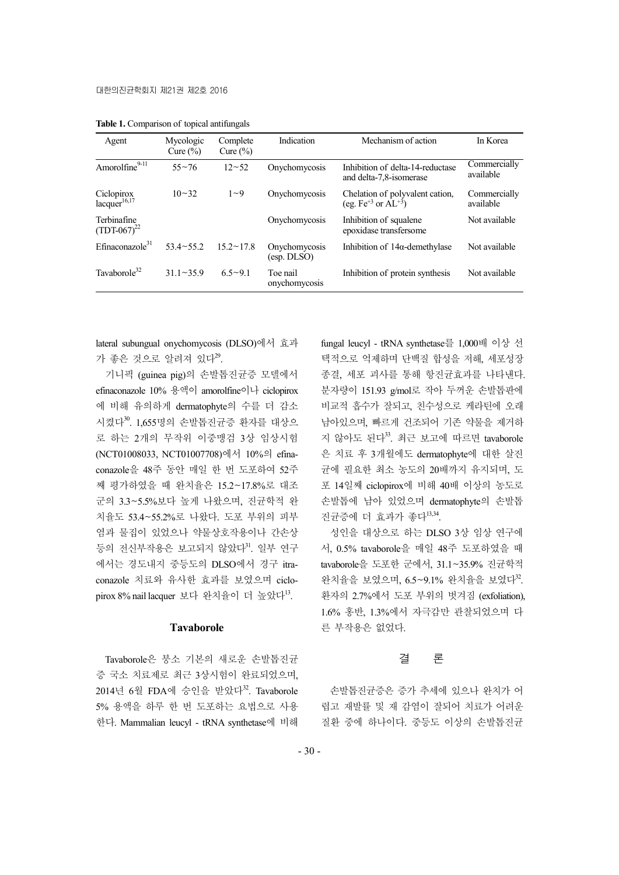| Agent                                  | Mycologic<br>Cure $(\% )$ | Complete<br>Cure $(\% )$ | Indication                   | Mechanism of action                                              | In Korea                  |
|----------------------------------------|---------------------------|--------------------------|------------------------------|------------------------------------------------------------------|---------------------------|
| Amorolfine9-11                         | $55 - 76$                 | $12 - 52$                | Onychomycosis                | Inhibition of delta-14-reductase<br>and delta-7,8-isomerase      | Commercially<br>available |
| Ciclopirox<br>lacquer <sup>16,17</sup> | $10 - 32$                 | $1 - 9$                  | Onychomycosis                | Chelation of polyvalent cation,<br>(eg. $Fe^{+3}$ or $AL^{+3}$ ) | Commercially<br>available |
| Terbinafine<br>$(TDT-067)^{22}$        |                           |                          | Onychomycosis                | Inhibition of squalene<br>epoxidase transfersome                 | Not available             |
| $E$ finaconazole $31$                  | $53.4 \sim 55.2$          | $15.2 \sim 17.8$         | Onychomycosis<br>(esp. DLSO) | Inhibition of $14\alpha$ -demethylase                            | Not available             |
| Tavaborole $32$                        | $31.1 - 35.9$             | $6.5 - 9.1$              | Toe nail<br>onychomycosis    | Inhibition of protein synthesis                                  | Not available             |

Table 1. Comparison of topical antifungals

lateral subungual onychomycosis (DLSO)에서 효과 가 좋은 것으로 알려져 있다<sup>29</sup>.

기니픽 (guinea pig)의 손발톱진균증 모델에서 efinaconazole 10% 용액이 amorolfine이나 ciclopirox 에 비해 유의하게 dermatophyte의 수를 더 감소 시켰다<sup>30</sup>. 1,655명의 손발톱진균증 환자를 대상으 로 하는 2개의 무작위 이중맹검 3상 임상시험 (NCT01008033, NCT01007708)에서 10%의 efinaconazole을 48주 동안 매일 한 번 도포하여 52주 째 평가하였을 때 완치율은 15.2~17.8%로 대조 군의 3.3~5.5%보다 높게 나왔으며, 진균학적 완 치율도 53.4~55.2%로 나왔다. 도포 부위의 피부 염과 물집이 있었으나 약물상호작용이나 간손상 등의 전신부작용은 보고되지 않았다<sup>31</sup>. 일부 연구 에서는 경도내지 중등도의 DLSO에서 경구 itraconazole 치료와 유사한 효과를 보였으며 ciclopirox 8% nail lacquer 보다 완치율이 더 높았다<sup>13</sup>.

### Tavaborole

Tavaborole은 붕소 기본의 새로운 손발톱진균 증 국소 치료제로 최근 3상시험이 완료되었으며, 2014년 6월 FDA에 승인을 받았다<sup>32</sup>. Tavaborole 5% 용액을 하루 한 번 도포하는 요법으로 사용 한다. Mammalian leucyl - tRNA synthetase에 비해 fungal leucyl - tRNA synthetase를 1,000배 이상 선 택적으로 억제하며 단백질 합성을 저해, 세포성장 종결, 세포 괴사를 통해 항진균효과를 나타낸다. 분자량이 151.93 g/mol로 작아 두꺼운 손발톱판에 비교적 흡수가 잘되고, 친수성으로 케라틴에 오래 남아있으며, 빠르게 건조되어 기존 약물을 제거하 지 않아도 된다<sup>33</sup>. 최근 보고에 따르면 tavaborole 은 치료 후 3개월에도 dermatophyte에 대한 살진 균에 필요한 최소 농도의 20배까지 유지되며, 도 포 14일째 ciclopirox에 비해 40배 이상의 농도로 손발톱에 남아 있었으며 dermatophyte의 손발톱 진균증에 더 효과가 좋다<sup>13,34</sup>.

성인을 대상으로 하는 DLSO 3상 임상 연구에 서, 0.5% tavaborole을 매일 48주 도포하였을 때 tavaborole을 도포한 군에서, 31.1~35.9% 진균학적 완치율을 보였으며, 6.5~9.1% 완치율을 보였다<sup>32</sup>. 환자의 2.7%에서 도포 부위의 벗겨짐 (exfoliation), 1.6% 홍반, 1.3%에서 자극감만 관찰되었으며 다 른 부작용은 없었다.

# 결 론

손발톱진균증은 증가 추세에 있으나 완치가 어 렵고 재발률 및 재 감염이 잘되어 치료가 어려운 질환 중에 하나이다. 중등도 이상의 손발톱진균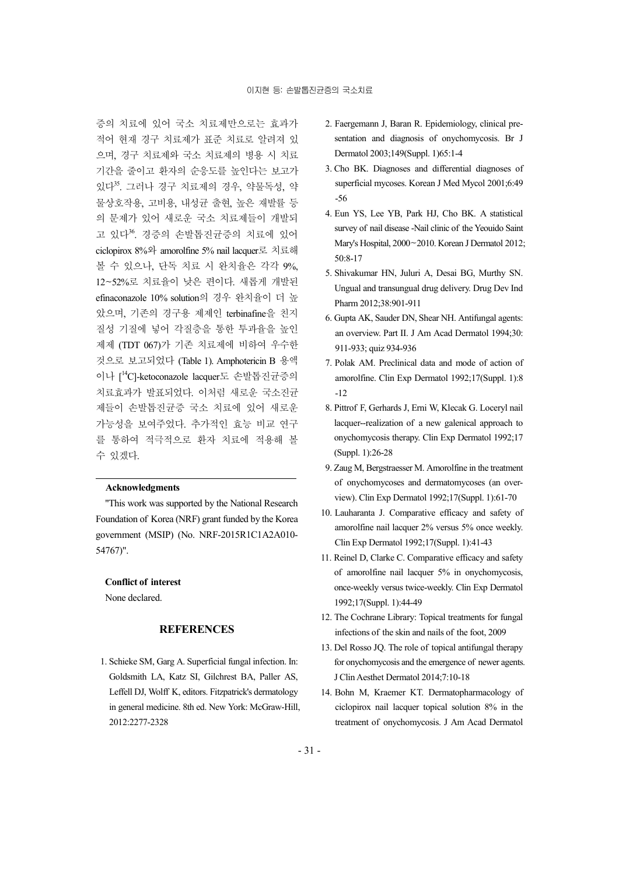증의 치료에 있어 국소 치료제만으로는 효과가 적어 현재 경구 치료제가 표준 치료로 알려져 있 으며, 경구 치료제와 국소 치료제의 병용 시 치료 기간을 줄이고 환자의 순응도를 높인다는 보고가 있다<sup>35</sup> . 그러나 경구 치료제의 경우, 약물독성, 약 물상호작용, 고비용, 내성균 출현, 높은 재발률 등 의 문제가 있어 새로운 국소 치료제들이 개발되 고 있다<sup>36</sup>. 경증의 손발톱진균증의 치료에 있어 ciclopirox 8%와 amorolfine 5% nail lacquer로 치료해 볼 수 있으나, 단독 치료 시 완치율은 각각 9%, 12~52%로 치료율이 낮은 편이다. 새롭게 개발된 efinaconazole 10% solution의 경우 완치율이 더 높 았으며, 기존의 경구용 제제인 terbinafine을 친지 질성 기질에 넣어 각질층을 통한 투과율을 높인 제제 (TDT 067)가 기존 치료제에 비하여 우수한 것으로 보고되었다 (Table 1). Amphotericin B 용액 이나 [<sup>14</sup>C]-ketoconazole lacquer도 손발톱진균증의 치료효과가 발표되었다. 이처럼 새로운 국소진균 제들이 손발톱진균증 국소 치료에 있어 새로운 가능성을 보여주었다. 추가적인 효능 비교 연구 를 통하여 적극적으로 환자 치료에 적용해 볼 수 있겠다.

#### Acknowledgments

"This work was supported by the National Research Foundation of Korea (NRF) grant funded by the Korea government (MSIP) (No. NRF-2015R1C1A2A010- 54767)".

#### Conflict of interest

None declared.

## **REFERENCES**

1. Schieke SM, Garg A. Superficial fungal infection. In: Goldsmith LA, Katz SI, Gilchrest BA, Paller AS, Leffell DJ, Wolff K, editors. Fitzpatrick's dermatology in general medicine. 8th ed. New York: McGraw-Hill, 2012:2277-2328

- 2. Faergemann J, Baran R. Epidemiology, clinical presentation and diagnosis of onychomycosis. Br J Dermatol 2003;149(Suppl. 1)65:1-4
- 3. Cho BK. Diagnoses and differential diagnoses of superficial mycoses. Korean J Med Mycol 2001;6:49 -56
- 4. Eun YS, Lee YB, Park HJ, Cho BK. A statistical survey of nail disease -Nail clinic of the Yeouido Saint Mary's Hospital, 2000~2010. Korean J Dermatol 2012; 50:8-17
- 5. Shivakumar HN, Juluri A, Desai BG, Murthy SN. Ungual and transungual drug delivery. Drug Dev Ind Pharm 2012;38:901-911
- 6. Gupta AK, Sauder DN, Shear NH. Antifungal agents: an overview. Part II. J Am Acad Dermatol 1994;30: 911-933; quiz 934-936
- 7. Polak AM. Preclinical data and mode of action of amorolfine. Clin Exp Dermatol 1992;17(Suppl. 1):8  $-12$
- 8. Pittrof F, Gerhards J, Erni W, Klecak G. Loceryl nail lacquer--realization of a new galenical approach to onychomycosis therapy. Clin Exp Dermatol 1992;17 (Suppl. 1):26-28
- 9. Zaug M, Bergstraesser M. Amorolfine in the treatment of onychomycoses and dermatomycoses (an overview). Clin Exp Dermatol 1992;17(Suppl. 1):61-70
- 10. Lauharanta J. Comparative efficacy and safety of amorolfine nail lacquer 2% versus 5% once weekly. Clin Exp Dermatol 1992;17(Suppl. 1):41-43
- 11. Reinel D, Clarke C. Comparative efficacy and safety of amorolfine nail lacquer 5% in onychomycosis, once-weekly versus twice-weekly. Clin Exp Dermatol 1992;17(Suppl. 1):44-49
- 12. The Cochrane Library: Topical treatments for fungal infections of the skin and nails of the foot, 2009
- 13. Del Rosso JQ. The role of topical antifungal therapy for onychomycosis and the emergence of newer agents. J Clin Aesthet Dermatol 2014;7:10-18
- 14. Bohn M, Kraemer KT. Dermatopharmacology of ciclopirox nail lacquer topical solution 8% in the treatment of onychomycosis. J Am Acad Dermatol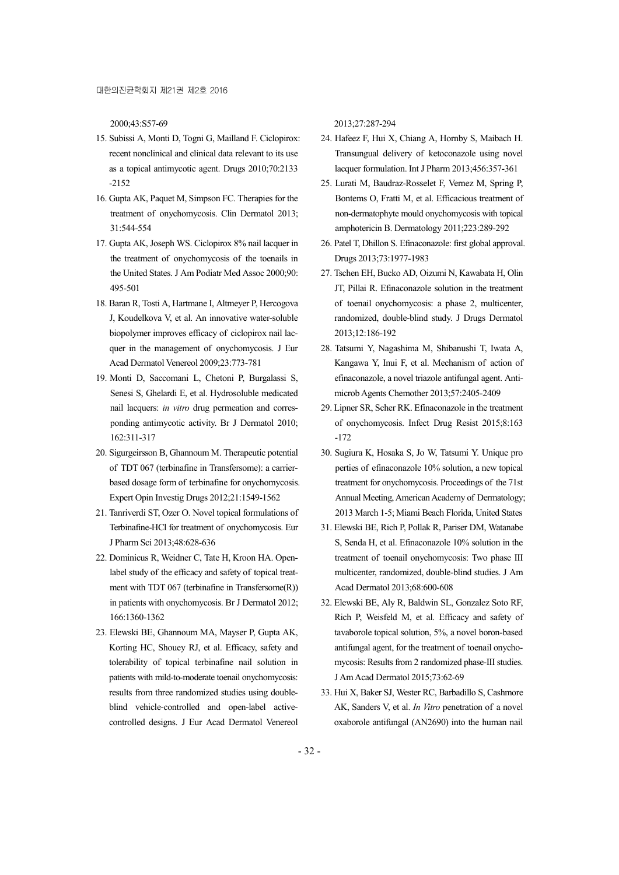2000;43:S57-69

- 15. Subissi A, Monti D, Togni G, Mailland F. Ciclopirox: recent nonclinical and clinical data relevant to its use as a topical antimycotic agent. Drugs 2010;70:2133 -2152
- 16. Gupta AK, Paquet M, Simpson FC. Therapies for the treatment of onychomycosis. Clin Dermatol 2013; 31:544-554
- 17. Gupta AK, Joseph WS. Ciclopirox 8% nail lacquer in the treatment of onychomycosis of the toenails in the United States. J Am Podiatr Med Assoc 2000;90: 495-501
- 18. Baran R, Tosti A, Hartmane I, Altmeyer P, Hercogova J, Koudelkova V, et al. An innovative water-soluble biopolymer improves efficacy of ciclopirox nail lacquer in the management of onychomycosis. J Eur Acad Dermatol Venereol 2009;23:773-781
- 19. Monti D, Saccomani L, Chetoni P, Burgalassi S, Senesi S, Ghelardi E, et al. Hydrosoluble medicated nail lacquers: in vitro drug permeation and corresponding antimycotic activity. Br J Dermatol 2010; 162:311-317
- 20. Sigurgeirsson B, Ghannoum M. Therapeutic potential of TDT 067 (terbinafine in Transfersome): a carrierbased dosage form of terbinafine for onychomycosis. Expert Opin Investig Drugs 2012;21:1549-1562
- 21. Tanriverdi ST, Ozer O. Novel topical formulations of Terbinafine-HCl for treatment of onychomycosis. Eur J Pharm Sci 2013;48:628-636
- 22. Dominicus R, Weidner C, Tate H, Kroon HA. Openlabel study of the efficacy and safety of topical treatment with TDT 067 (terbinafine in Transfersome(R)) in patients with onychomycosis. Br J Dermatol 2012; 166:1360-1362
- 23. Elewski BE, Ghannoum MA, Mayser P, Gupta AK, Korting HC, Shouey RJ, et al. Efficacy, safety and tolerability of topical terbinafine nail solution in patients with mild-to-moderate toenail onychomycosis: results from three randomized studies using doubleblind vehicle-controlled and open-label activecontrolled designs. J Eur Acad Dermatol Venereol

2013;27:287-294

- 24. Hafeez F, Hui X, Chiang A, Hornby S, Maibach H. Transungual delivery of ketoconazole using novel lacquer formulation. Int J Pharm 2013;456:357-361
- 25. Lurati M, Baudraz-Rosselet F, Vernez M, Spring P, Bontems O, Fratti M, et al. Efficacious treatment of non-dermatophyte mould onychomycosis with topical amphotericin B. Dermatology 2011;223:289-292
- 26. Patel T, Dhillon S. Efinaconazole: first global approval. Drugs 2013;73:1977-1983
- 27. Tschen EH, Bucko AD, Oizumi N, Kawabata H, Olin JT, Pillai R. Efinaconazole solution in the treatment of toenail onychomycosis: a phase 2, multicenter, randomized, double-blind study. J Drugs Dermatol 2013;12:186-192
- 28. Tatsumi Y, Nagashima M, Shibanushi T, Iwata A, Kangawa Y, Inui F, et al. Mechanism of action of efinaconazole, a novel triazole antifungal agent. Antimicrob Agents Chemother 2013;57:2405-2409
- 29. Lipner SR, Scher RK. Efinaconazole in the treatment of onychomycosis. Infect Drug Resist 2015;8:163 -172
- 30. Sugiura K, Hosaka S, Jo W, Tatsumi Y. Unique pro perties of efinaconazole 10% solution, a new topical treatment for onychomycosis. Proceedings of the 71st Annual Meeting, American Academy of Dermatology; 2013 March 1-5; Miami Beach Florida, United States
- 31. Elewski BE, Rich P, Pollak R, Pariser DM, Watanabe S, Senda H, et al. Efinaconazole 10% solution in the treatment of toenail onychomycosis: Two phase III multicenter, randomized, double-blind studies. J Am Acad Dermatol 2013;68:600-608
- 32. Elewski BE, Aly R, Baldwin SL, Gonzalez Soto RF, Rich P, Weisfeld M, et al. Efficacy and safety of tavaborole topical solution, 5%, a novel boron-based antifungal agent, for the treatment of toenail onychomycosis: Results from 2 randomized phase-III studies. J Am Acad Dermatol 2015;73:62-69
- 33. Hui X, Baker SJ, Wester RC, Barbadillo S, Cashmore AK, Sanders V, et al. In Vitro penetration of a novel oxaborole antifungal (AN2690) into the human nail